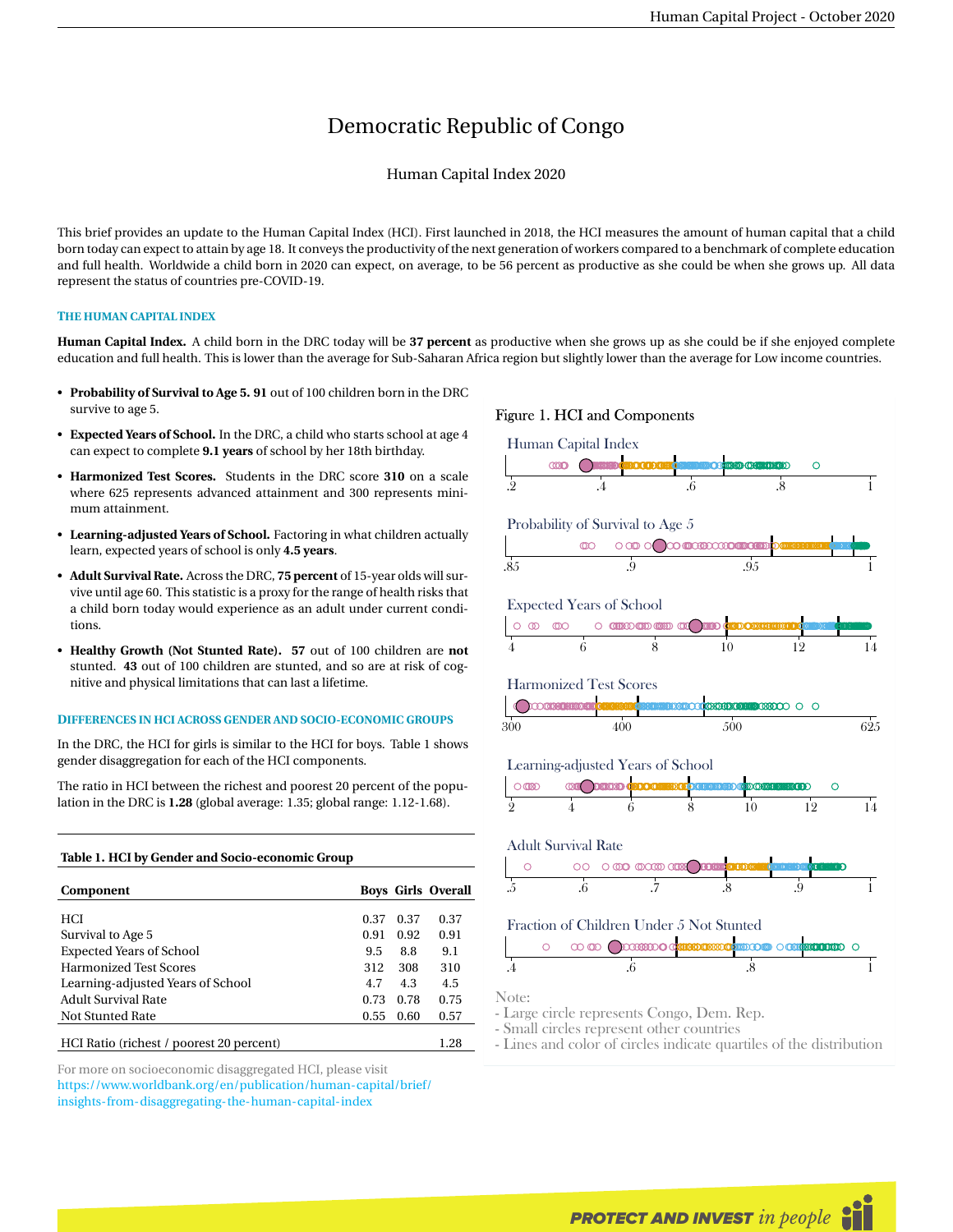# Democratic Republic of Congo

# Human Capital Index 2020

This brief provides an update to the Human Capital Index (HCI). First launched in 2018, the HCI measures the amount of human capital that a child born today can expect to attain by age 18. It conveys the productivity of the next generation of workers compared to a benchmark of complete education and full health. Worldwide a child born in 2020 can expect, on average, to be 56 percent as productive as she could be when she grows up. All data represent the status of countries pre-COVID-19.

# **THE HUMAN CAPITAL INDEX**

**Human Capital Index.** A child born in the DRC today will be **37 percent** as productive when she grows up as she could be if she enjoyed complete education and full health. This is lower than the average for Sub-Saharan Africa region but slightly lower than the average for Low income countries.

- **Probability of Survival to Age 5. 91** out of 100 children born in the DRC survive to age 5.
- **Expected Years of School.** In the DRC, a child who starts school at age 4 can expect to complete **9.1 years** of school by her 18th birthday.
- **Harmonized Test Scores.** Students in the DRC score **310** on a scale where 625 represents advanced attainment and 300 represents minimum attainment.
- **Learning-adjusted Years of School.** Factoring in what children actually learn, expected years of school is only **4.5 years**.
- **Adult Survival Rate.** Across the DRC, **75 percent** of 15-year olds will survive until age 60. This statistic is a proxy for the range of health risks that a child born today would experience as an adult under current conditions.
- **Healthy Growth (Not Stunted Rate). 57** out of 100 children are **not** stunted. **43** out of 100 children are stunted, and so are at risk of cognitive and physical limitations that can last a lifetime.

### **DIFFERENCES IN HCI ACROSS GENDER AND SOCIO-ECONOMIC GROUPS**

In the DRC, the HCI for girls is similar to the HCI for boys. Table 1 shows gender disaggregation for each of the HCI components.

The ratio in HCI between the richest and poorest 20 percent of the population in the DRC is **1.28** (global average: 1.35; global range: 1.12-1.68).

#### **Table 1. HCI by Gender and Socio-economic Group**

| Component                                |      |      | <b>Boys Girls Overall</b> |
|------------------------------------------|------|------|---------------------------|
|                                          |      |      |                           |
| <b>HCI</b>                               | 0.37 | 0.37 | 0.37                      |
| Survival to Age 5                        | 0.91 | 0.92 | 0.91                      |
| <b>Expected Years of School</b>          | 9.5  | 8.8  | 9.1                       |
| <b>Harmonized Test Scores</b>            | 312  | 308  | 310                       |
| Learning-adjusted Years of School        | 4.7  | 4.3  | 4.5                       |
| <b>Adult Survival Rate</b>               | 0.73 | 0.78 | 0.75                      |
| Not Stunted Rate                         | 0.55 | 0.60 | 0.57                      |
|                                          |      |      |                           |
| HCI Ratio (richest / poorest 20 percent) |      |      | 1.28                      |

For more on socioeconomic disaggregated HCI, please visit [https://www.worldbank.org/en/publication/human-capital/brief/](https://www.worldbank.org/en/publication/human-capital/brief/insights-from-disaggregating-the-human-capital-index) [insights-from-disaggregating-the-human-capital-index](https://www.worldbank.org/en/publication/human-capital/brief/insights-from-disaggregating-the-human-capital-index)

## Figure 1. HCI and Components



- Large circle represents Congo, Dem. Rep.

- Small circles represent other countries

- Lines and color of circles indicate quartiles of the distribution